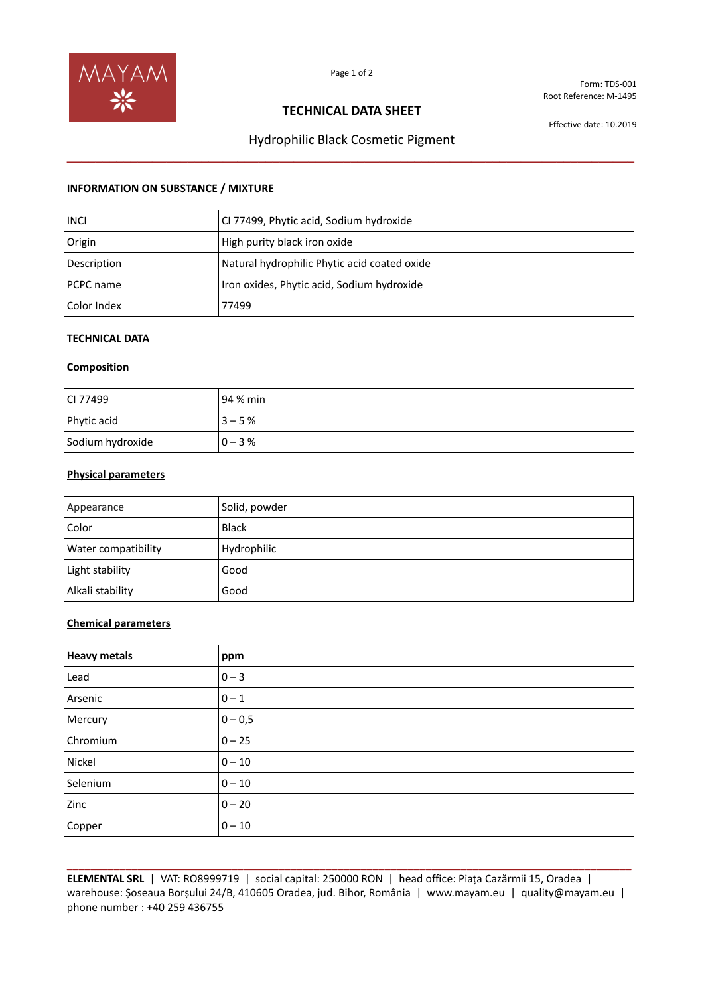

Form: TDS-001 Root Reference: M-1495

# **TECHNICAL DATA SHEET**

Effective date: 10.2019

# Hydrophilic Black Cosmetic Pigment **\_\_\_\_\_\_\_\_\_\_\_\_\_\_\_\_\_\_\_\_\_\_\_\_\_\_\_\_\_\_\_\_\_\_\_\_\_\_\_\_\_\_\_\_\_\_\_\_\_\_\_\_\_\_\_\_\_\_\_\_\_\_\_\_\_\_\_\_\_\_\_\_\_\_\_\_\_\_\_\_**

## **INFORMATION ON SUBSTANCE / MIXTURE**

| <b>INCI</b> | CI 77499, Phytic acid, Sodium hydroxide      |
|-------------|----------------------------------------------|
| Origin      | High purity black iron oxide                 |
| Description | Natural hydrophilic Phytic acid coated oxide |
| PCPC name   | Iron oxides, Phytic acid, Sodium hydroxide   |
| Color Index | 77499                                        |

# **TECHNICAL DATA**

#### **Composition**

| CI 77499         | 94 % min  |
|------------------|-----------|
| Phytic acid      | $3 - 5%$  |
| Sodium hydroxide | $0 - 3\%$ |

# **Physical parameters**

| Appearance                 | Solid, powder |
|----------------------------|---------------|
| Color                      | <b>Black</b>  |
| <b>Water compatibility</b> | Hydrophilic   |
| Light stability            | Good          |
| Alkali stability           | Good          |

#### **Chemical parameters**

| <b>Heavy metals</b> | ppm       |
|---------------------|-----------|
| Lead                | $0 - 3$   |
| Arsenic             | $0 - 1$   |
| Mercury             | $0 - 0,5$ |
| Chromium            | $0 - 25$  |
| Nickel              | $0 - 10$  |
| Selenium            | $0 - 10$  |
| Zinc                | $0 - 20$  |
| Copper              | $0 - 10$  |

**\_\_\_\_\_\_\_\_\_\_\_\_\_\_\_\_\_\_\_\_\_\_\_\_\_\_\_\_\_\_\_\_\_\_\_\_\_\_\_\_\_\_\_\_\_\_\_\_\_\_\_\_\_\_\_\_\_\_\_\_\_\_\_\_\_\_\_\_\_\_\_\_\_\_\_\_\_\_\_\_\_\_\_\_\_\_\_\_\_\_\_\_\_\_\_\_ ELEMENTAL SRL** | VAT: RO8999719 | social capital: 250000 RON | head office: Piața Cazărmii 15, Oradea | warehouse: Șoseaua Borșului 24/B, 410605 Oradea, jud. Bihor, România | www.mayam.eu | quality@mayam.eu | phone number : +40 259 436755